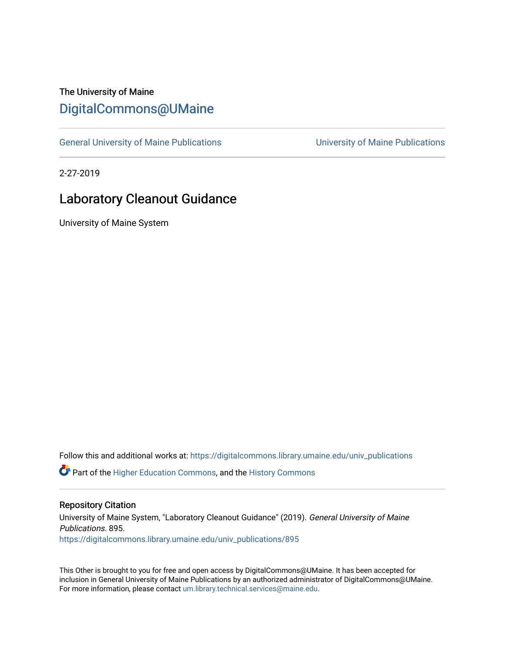## The University of Maine [DigitalCommons@UMaine](https://digitalcommons.library.umaine.edu/)

[General University of Maine Publications](https://digitalcommons.library.umaine.edu/univ_publications) [University of Maine Publications](https://digitalcommons.library.umaine.edu/umaine_publications) 

2-27-2019

## Laboratory Cleanout Guidance

University of Maine System

Follow this and additional works at: [https://digitalcommons.library.umaine.edu/univ\\_publications](https://digitalcommons.library.umaine.edu/univ_publications?utm_source=digitalcommons.library.umaine.edu%2Funiv_publications%2F895&utm_medium=PDF&utm_campaign=PDFCoverPages) 

**C** Part of the [Higher Education Commons,](http://network.bepress.com/hgg/discipline/1245?utm_source=digitalcommons.library.umaine.edu%2Funiv_publications%2F895&utm_medium=PDF&utm_campaign=PDFCoverPages) and the [History Commons](http://network.bepress.com/hgg/discipline/489?utm_source=digitalcommons.library.umaine.edu%2Funiv_publications%2F895&utm_medium=PDF&utm_campaign=PDFCoverPages)

## Repository Citation

University of Maine System, "Laboratory Cleanout Guidance" (2019). General University of Maine Publications. 895. [https://digitalcommons.library.umaine.edu/univ\\_publications/895](https://digitalcommons.library.umaine.edu/univ_publications/895?utm_source=digitalcommons.library.umaine.edu%2Funiv_publications%2F895&utm_medium=PDF&utm_campaign=PDFCoverPages) 

This Other is brought to you for free and open access by DigitalCommons@UMaine. It has been accepted for inclusion in General University of Maine Publications by an authorized administrator of DigitalCommons@UMaine. For more information, please contact [um.library.technical.services@maine.edu](mailto:um.library.technical.services@maine.edu).